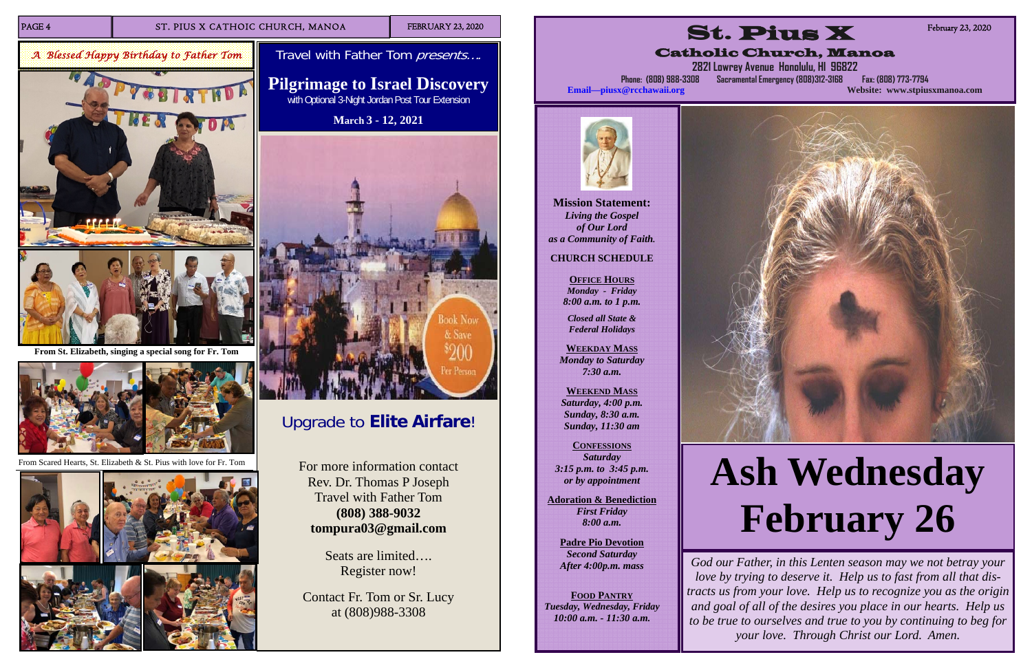

PAGE 4 ST. PIUS X CATHOIC CHURCH, MANOA FEBRUARY 23, 2020

## Upgrade to **Elite Airfare**!

For more information contact Rev. Dr. Thomas P Joseph Travel with Father Tom **(808) 388-9032 tompura03@gmail.com** 

Travel with Father Tom presents.... **Pilgrimage to Israel Discovery**  with Optional 3-Night Jordan Post Tour Extension **March 3 - 12, 2021**

> Seats are limited…. Register now!

Contact Fr. Tom or Sr. Lucy at (808)988-3308



*A Blessed Happy Birthday to Father Tom* 



**From St. Elizabeth, singing a special song for Fr. Tom** 



From Scared Hearts, St. Elizabeth & St. Pius with love for Fr. Tom



**Mission Statement:**  *Living the Gospel of Our Lord as a Community of Faith.* 

### **CHURCH SCHEDULE**

**OFFICE HOURS** *Monday - Friday 8:00 a.m. to 1 p.m.* 

*Closed all State & Federal Holidays* 

**WEEKDAY MASS***Monday to Saturday 7:30 a.m.* 

**WEEKEND MASS***Saturday, 4:00 p.m. Sunday, 8:30 a.m. Sunday, 11:30 am* 

**CONFESSIONS** *Saturday 3:15 p.m. to 3:45 p.m. or by appointment* 

**Adoration & Benediction**  *First Friday 8:00 a.m.* 

**Padre Pio Devotion**  *Second Saturday After 4:00p.m. mass* 

**FOOD PANTRY***Tuesday, Wednesday, Friday 10:00 a.m. - 11:30 a.m.* 



# **Ash Wednesday February 26**

*God our Father, in this Lenten season may we not betray your love by trying to deserve it. Help us to fast from all that distracts us from your love. Help us to recognize you as the origin and goal of all of the desires you place in our hearts. Help us to be true to ourselves and true to you by continuing to beg for your love. Through Christ our Lord. Amen.*